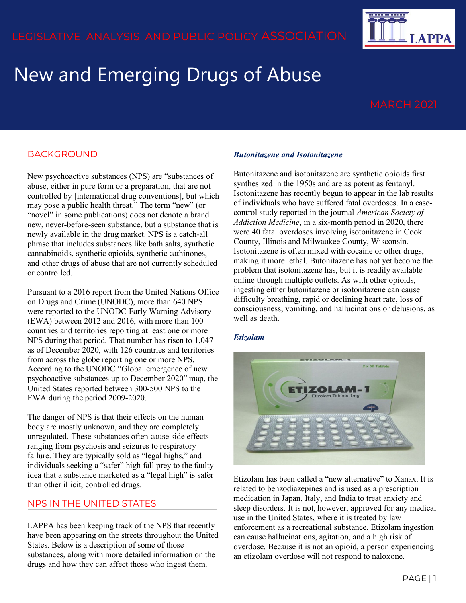# New and Emerging Drugs of Abuse

**APPA** 

### BACKGROUND

New psychoactive substances (NPS) are "substances of abuse, either in pure form or a preparation, that are not controlled by [international drug conventions], but which may pose a public health threat." The term "new" (or "novel" in some publications) does not denote a brand new, never-before-seen substance, but a substance that is newly available in the drug market. NPS is a catch-all phrase that includes substances like bath salts, synthetic cannabinoids, synthetic opioids, synthetic cathinones, and other drugs of abuse that are not currently scheduled or controlled.

Pursuant to a 2016 report from the United Nations Office on Drugs and Crime (UNODC), more than 640 NPS were reported to the UNODC Early Warning Advisory (EWA) between 2012 and 2016, with more than 100 countries and territories reporting at least one or more NPS during that period. That number has risen to 1,047 as of December 2020, with 126 countries and territories from across the globe reporting one or more NPS. According to the UNODC "Global emergence of new psychoactive substances up to December 2020" map, the United States reported between 300-500 NPS to the EWA during the period 2009-2020.

The danger of NPS is that their effects on the human body are mostly unknown, and they are completely unregulated. These substances often cause side effects ranging from psychosis and seizures to respiratory failure. They are typically sold as "legal highs," and individuals seeking a "safer" high fall prey to the faulty idea that a substance marketed as a "legal high" is safer than other illicit, controlled drugs.

#### NPS IN THE UNITED STATES

LAPPA has been keeping track of the NPS that recently have been appearing on the streets throughout the United States. Below is a description of some of those substances, along with more detailed information on the drugs and how they can affect those who ingest them.

#### *Butonitazene and Isotonitazene*

Butonitazene and isotonitazene are synthetic opioids first synthesized in the 1950s and are as potent as fentanyl. Isotonitazene has recently begun to appear in the lab results of individuals who have suffered fatal overdoses. In a casecontrol study reported in the journal *American Society of Addiction Medicine*, in a six-month period in 2020, there were 40 fatal overdoses involving isotonitazene in Cook County, Illinois and Milwaukee County, Wisconsin. Isotonitazene is often mixed with cocaine or other drugs, making it more lethal. Butonitazene has not yet become the problem that isotonitazene has, but it is readily available online through multiple outlets. As with other opioids, ingesting either butonitazene or isotonitazene can cause difficulty breathing, rapid or declining heart rate, loss of consciousness, vomiting, and hallucinations or delusions, as well as death.

#### *Etizolam*



Etizolam has been called a "new alternative" to Xanax. It is related to benzodiazepines and is used as a prescription medication in Japan, Italy, and India to treat anxiety and sleep disorders. It is not, however, approved for any medical use in the United States, where it is treated by law enforcement as a recreational substance. Etizolam ingestion can cause hallucinations, agitation, and a high risk of overdose. Because it is not an opioid, a person experiencing an etizolam overdose will not respond to naloxone.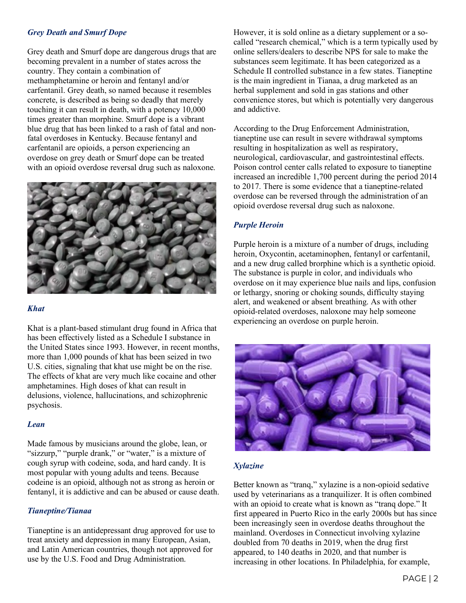#### *Grey Death and Smurf Dope*

Grey death and Smurf dope are dangerous drugs that are becoming prevalent in a number of states across the country. They contain a combination of methamphetamine or heroin and fentanyl and/or carfentanil. Grey death, so named because it resembles concrete, is described as being so deadly that merely touching it can result in death, with a potency 10,000 times greater than morphine. Smurf dope is a vibrant blue drug that has been linked to a rash of fatal and nonfatal overdoses in Kentucky. Because fentanyl and carfentanil are opioids, a person experiencing an overdose on grey death or Smurf dope can be treated with an opioid overdose reversal drug such as naloxone.



#### *Khat*

Khat is a plant-based stimulant drug found in Africa that has been effectively listed as a Schedule I substance in the United States since 1993. However, in recent months, more than 1,000 pounds of khat has been seized in two U.S. cities, signaling that khat use might be on the rise. The effects of khat are very much like cocaine and other amphetamines. High doses of khat can result in delusions, violence, hallucinations, and schizophrenic psychosis.

#### *Lean*

Made famous by musicians around the globe, lean, or "sizzurp," "purple drank," or "water," is a mixture of cough syrup with codeine, soda, and hard candy. It is most popular with young adults and teens. Because codeine is an opioid, although not as strong as heroin or fentanyl, it is addictive and can be abused or cause death.

#### *Tianeptine/Tianaa*

Tianeptine is an antidepressant drug approved for use to treat anxiety and depression in many European, Asian, and Latin American countries, though not approved for use by the U.S. Food and Drug Administration.

However, it is sold online as a dietary supplement or a socalled "research chemical," which is a term typically used by online sellers/dealers to describe NPS for sale to make the substances seem legitimate. It has been categorized as a Schedule II controlled substance in a few states. Tianeptine is the main ingredient in Tianaa, a drug marketed as an herbal supplement and sold in gas stations and other convenience stores, but which is potentially very dangerous and addictive.

According to the Drug Enforcement Administration, tianeptine use can result in severe withdrawal symptoms resulting in hospitalization as well as respiratory, neurological, cardiovascular, and gastrointestinal effects. Poison control center calls related to exposure to tianeptine increased an incredible 1,700 percent during the period 2014 to 2017. There is some evidence that a tianeptine-related overdose can be reversed through the administration of an opioid overdose reversal drug such as naloxone.

#### *Purple Heroin*

Purple heroin is a mixture of a number of drugs, including heroin, Oxycontin, acetaminophen, fentanyl or carfentanil, and a new drug called brorphine which is a synthetic opioid. The substance is purple in color, and individuals who overdose on it may experience blue nails and lips, confusion or lethargy, snoring or choking sounds, difficulty staying alert, and weakened or absent breathing. As with other opioid-related overdoses, naloxone may help someone experiencing an overdose on purple heroin.



#### *Xylazine*

Better known as "tranq," xylazine is a non-opioid sedative used by veterinarians as a tranquilizer. It is often combined with an opioid to create what is known as "trang dope." It first appeared in Puerto Rico in the early 2000s but has since been increasingly seen in overdose deaths throughout the mainland. Overdoses in Connecticut involving xylazine doubled from 70 deaths in 2019, when the drug first appeared, to 140 deaths in 2020, and that number is increasing in other locations. In Philadelphia, for example,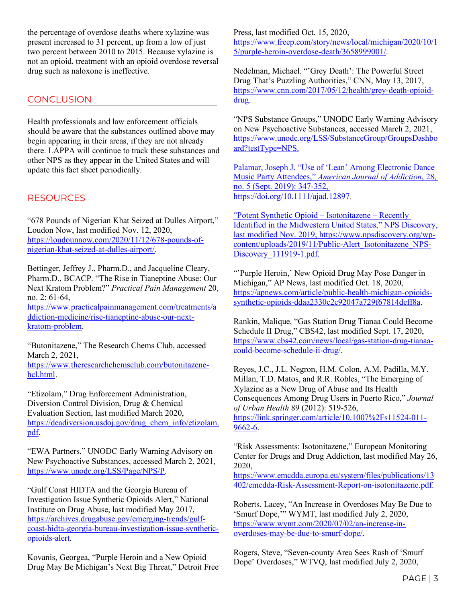the percentage of overdose deaths where xylazine was present increased to 31 percent, up from a low of just two percent between 2010 to 2015. Because xylazine is not an opioid, treatment with an opioid overdose reversal drug such as naloxone is ineffective.

#### **CONCLUSION**

Health professionals and law enforcement officials should be aware that the substances outlined above may begin appearing in their areas, if they are not already there. LAPPA will continue to track these substances and other NPS as they appear in the United States and will update this fact sheet periodically.

#### RESOURCES

"678 Pounds of Nigerian Khat Seized at Dulles Airport," Loudon Now, last modified Nov. 12, 2020, [https://loudounnow.com/2020/11/12/678-pounds-of](https://loudounnow.com/2020/11/12/678-pounds-of-nigerian-khat-seized-at-dulles-airport/)[nigerian-khat-seized-at-dulles-airport/.](https://loudounnow.com/2020/11/12/678-pounds-of-nigerian-khat-seized-at-dulles-airport/)

Bettinger, Jeffrey J., Pharm.D., and Jacqueline Cleary, Pharm.D., BCACP. "The Rise in Tianeptine Abuse: Our Next Kratom Problem?" *Practical Pain Management* 20, no. 2: 61-64,

[https://www.practicalpainmanagement.com/treatments/a](https://www.practicalpainmanagement.com/treatments/addiction-medicine/rise-tianeptine-abuse-our-next-kratom-problem) [ddiction-medicine/rise-tianeptine-abuse-our-next](https://www.practicalpainmanagement.com/treatments/addiction-medicine/rise-tianeptine-abuse-our-next-kratom-problem)[kratom-problem.](https://www.practicalpainmanagement.com/treatments/addiction-medicine/rise-tianeptine-abuse-our-next-kratom-problem)

"Butonitazene," The Research Chems Club, accessed March 2, 2021,

[https://www.theresearchchemsclub.com/butonitazene](https://www.theresearchchemsclub.com/butonitazene-hcl.html)[hcl.html.](https://www.theresearchchemsclub.com/butonitazene-hcl.html)

"Etizolam," Drug Enforcement Administration, Diversion Control Division, Drug & Chemical Evaluation Section, last modified March 2020, [https://deadiversion.usdoj.gov/drug\\_chem\\_info/etizolam.](https://deadiversion.usdoj.gov/drug_chem_info/etizolam.pdf) [pdf.](https://deadiversion.usdoj.gov/drug_chem_info/etizolam.pdf)

"EWA Partners," UNODC Early Warning Advisory on New Psychoactive Substances, accessed March 2, 2021, [https://www.unodc.org/LSS/Page/NPS/P.](https://www.unodc.org/LSS/Page/NPS/P)

"Gulf Coast HIDTA and the Georgia Bureau of Investigation Issue Synthetic Opioids Alert," National Institute on Drug Abuse, last modified May 2017, [https://archives.drugabuse.gov/emerging-trends/gulf](https://archives.drugabuse.gov/emerging-trends/gulf-coast-hidta-georgia-bureau-investigation-issue-synthetic-opioids-alert)[coast-hidta-georgia-bureau-investigation-issue-synthetic](https://archives.drugabuse.gov/emerging-trends/gulf-coast-hidta-georgia-bureau-investigation-issue-synthetic-opioids-alert)[opioids-alert.](https://archives.drugabuse.gov/emerging-trends/gulf-coast-hidta-georgia-bureau-investigation-issue-synthetic-opioids-alert)

Kovanis, Georgea, "Purple Heroin and a New Opioid Drug May Be Michigan's Next Big Threat," Detroit Free Press, last modified Oct. 15, 2020, [https://www.freep.com/story/news/local/michigan/2020/10/1](https://www.freep.com/story/news/local/michigan/2020/10/15/purple-heroin-overdose-death/3658999001/) [5/purple-heroin-overdose-death/3658999001/.](https://www.freep.com/story/news/local/michigan/2020/10/15/purple-heroin-overdose-death/3658999001/)

Nedelman, Michael. "'Grey Death': The Powerful Street Drug That's Puzzling Authorities," CNN, May 13, 2017, [https://www.cnn.com/2017/05/12/health/grey-death-opioid](https://www.cnn.com/2017/05/12/health/grey-death-opioid-drug)[drug.](https://www.cnn.com/2017/05/12/health/grey-death-opioid-drug)

"NPS Substance Groups," UNODC Early Warning Advisory on New Psychoactive Substances, accessed March 2, 2021, [https://www.unodc.org/LSS/SubstanceGroup/GroupsDashbo](https://www.unodc.org/LSS/SubstanceGroup/GroupsDashboard?testType=NPS) [ard?testType=NPS.](https://www.unodc.org/LSS/SubstanceGroup/GroupsDashboard?testType=NPS)

Palamar, Joseph J. "Use of 'Lean' Among Electronic Dance Music Party Attendees," *American Journal of Addiction*, 28, no. 5 (Sept. 2019): 347-352, [https://doi.org/10.1111/ajad.12897.](https://doi.org/10.1111/ajad.12897)

"Potent Synthetic Opioid – Isotonitazene – Recently Identified in the Midwestern United States," NPS Discovery, last modified Nov. 2019, [https://www.npsdiscovery.org/wp](https://www.npsdiscovery.org/wp-content/uploads/2019/11/Public-Alert_Isotonitazene_NPS-Discovery_111919-1.pdf)[content/uploads/2019/11/Public-Alert\\_Isotonitazene\\_NPS-](https://www.npsdiscovery.org/wp-content/uploads/2019/11/Public-Alert_Isotonitazene_NPS-Discovery_111919-1.pdf)[Discovery\\_111919-1.pdf.](https://www.npsdiscovery.org/wp-content/uploads/2019/11/Public-Alert_Isotonitazene_NPS-Discovery_111919-1.pdf) 

"'Purple Heroin,' New Opioid Drug May Pose Danger in Michigan," AP News, last modified Oct. 18, 2020, [https://apnews.com/article/public-health-michigan-opioids](https://apnews.com/article/public-health-michigan-opioids-synthetic-opioids-ddaa2330c2c92047a729f67814deff8a)[synthetic-opioids-ddaa2330c2c92047a729f67814deff8a.](https://apnews.com/article/public-health-michigan-opioids-synthetic-opioids-ddaa2330c2c92047a729f67814deff8a)

Rankin, Malique, "Gas Station Drug Tianaa Could Become Schedule II Drug," CBS42, last modified Sept. 17, 2020, [https://www.cbs42.com/news/local/gas-station-drug-tianaa](https://www.cbs42.com/news/local/gas-station-drug-tianaa-could-become-schedule-ii-drug/)[could-become-schedule-ii-drug/.](https://www.cbs42.com/news/local/gas-station-drug-tianaa-could-become-schedule-ii-drug/)

Reyes, J.C., J.L. Negron, H.M. Colon, A.M. Padilla, M.Y. Millan, T.D. Matos, and R.R. Robles, "The Emerging of Xylazine as a New Drug of Abuse and Its Health Consequences Among Drug Users in Puerto Rico," *Journal of Urban Health* 89 (2012): 519-526,

[https://link.springer.com/article/10.1007%2Fs11524-011-](https://link.springer.com/article/10.1007%2Fs11524-011-9662-6) [9662-6.](https://link.springer.com/article/10.1007%2Fs11524-011-9662-6)

"Risk Assessments: Isotonitazene," European Monitoring Center for Drugs and Drug Addiction, last modified May 26, 2020,

[https://www.emcdda.europa.eu/system/files/publications/13](https://www.emcdda.europa.eu/system/files/publications/13402/emcdda-Risk-Assessment-Report-on-isotonitazene.pdf) [402/emcdda-Risk-Assessment-Report-on-isotonitazene.pdf.](https://www.emcdda.europa.eu/system/files/publications/13402/emcdda-Risk-Assessment-Report-on-isotonitazene.pdf)

Roberts, Lacey, "An Increase in Overdoses May Be Due to 'Smurf Dope,'" WYMT, last modified July 2, 2020, [https://www.wymt.com/2020/07/02/an-increase-in](https://www.wymt.com/2020/07/02/an-increase-in-overdoses-may-be-due-to-smurf-dope/)[overdoses-may-be-due-to-smurf-dope/.](https://www.wymt.com/2020/07/02/an-increase-in-overdoses-may-be-due-to-smurf-dope/)

Rogers, Steve, "Seven-county Area Sees Rash of 'Smurf Dope' Overdoses," WTVQ, last modified July 2, 2020,